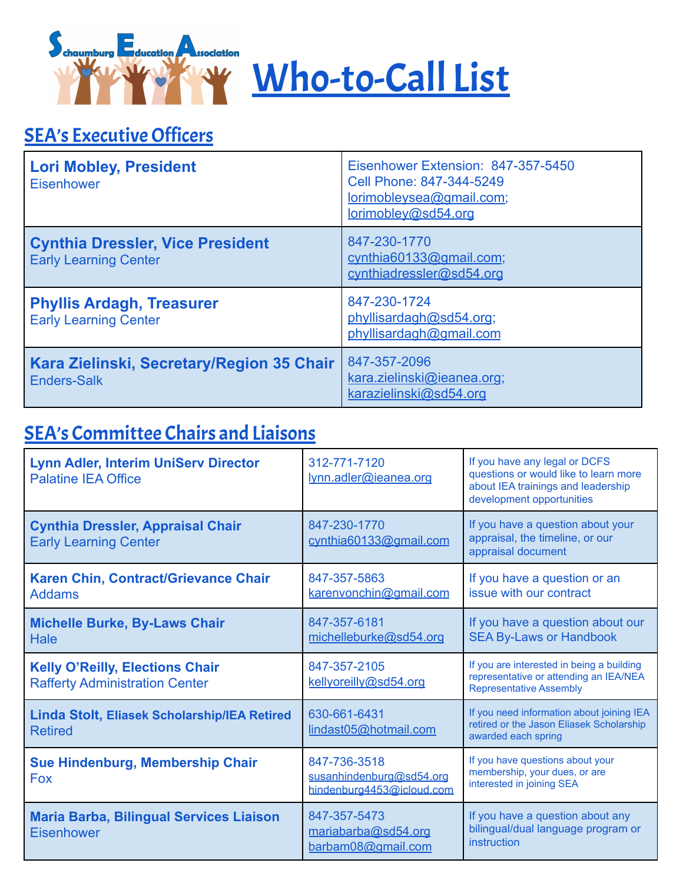



## **SEA's Executive Officers**

| <b>Lori Mobley, President</b><br><b>Eisenhower</b>                      | Eisenhower Extension: 847-357-5450<br>Cell Phone: 847-344-5249<br>lorimobleysea@gmail.com;<br>lorimobley@sd54.org |
|-------------------------------------------------------------------------|-------------------------------------------------------------------------------------------------------------------|
| <b>Cynthia Dressler, Vice President</b><br><b>Early Learning Center</b> | 847-230-1770<br>cynthia60133@gmail.com;<br>cynthiadressler@sd54.org                                               |
| <b>Phyllis Ardagh, Treasurer</b><br><b>Early Learning Center</b>        | 847-230-1724<br>phyllisardagh@sd54.org;<br>phyllisardagh@gmail.com                                                |
| Kara Zielinski, Secretary/Region 35 Chair<br><b>Enders-Salk</b>         | 847-357-2096<br>kara.zielinski@ieanea.org;<br>karazielinski@sd54.org                                              |

## SEA's Committee Chairs and Liaisons

| <b>Lynn Adler, Interim UniServ Director</b><br><b>Palatine IEA Office</b>       | 312-771-7120<br>lynn.adler@ieanea.org                                 | If you have any legal or DCFS<br>questions or would like to learn more<br>about IEA trainings and leadership<br>development opportunities |
|---------------------------------------------------------------------------------|-----------------------------------------------------------------------|-------------------------------------------------------------------------------------------------------------------------------------------|
| <b>Cynthia Dressler, Appraisal Chair</b><br><b>Early Learning Center</b>        | 847-230-1770<br>cynthia60133@gmail.com                                | If you have a question about your<br>appraisal, the timeline, or our<br>appraisal document                                                |
| Karen Chin, Contract/Grievance Chair<br><b>Addams</b>                           | 847-357-5863<br>karenvonchin@gmail.com                                | If you have a question or an<br>issue with our contract                                                                                   |
| <b>Michelle Burke, By-Laws Chair</b><br><b>Hale</b>                             | 847-357-6181<br>michelleburke@sd54.org                                | If you have a question about our<br><b>SEA By-Laws or Handbook</b>                                                                        |
| <b>Kelly O'Reilly, Elections Chair</b><br><b>Rafferty Administration Center</b> | 847-357-2105<br>kellyoreilly@sd54.org                                 | If you are interested in being a building<br>representative or attending an IEA/NEA<br><b>Representative Assembly</b>                     |
| <b>Linda Stolt, Eliasek Scholarship/IEA Retired</b><br><b>Retired</b>           | 630-661-6431<br>lindast05@hotmail.com                                 | If you need information about joining IEA<br>retired or the Jason Eliasek Scholarship<br>awarded each spring                              |
| Sue Hindenburg, Membership Chair<br><b>Fox</b>                                  | 847-736-3518<br>susanhindenburg@sd54.org<br>hindenburg4453@icloud.com | If you have questions about your<br>membership, your dues, or are<br>interested in joining SEA                                            |
| <b>Maria Barba, Bilingual Services Liaison</b><br><b>Eisenhower</b>             | 847-357-5473<br>mariabarba@sd54.org<br>barbam08@gmail.com             | If you have a question about any<br>bilingual/dual language program or<br>instruction                                                     |